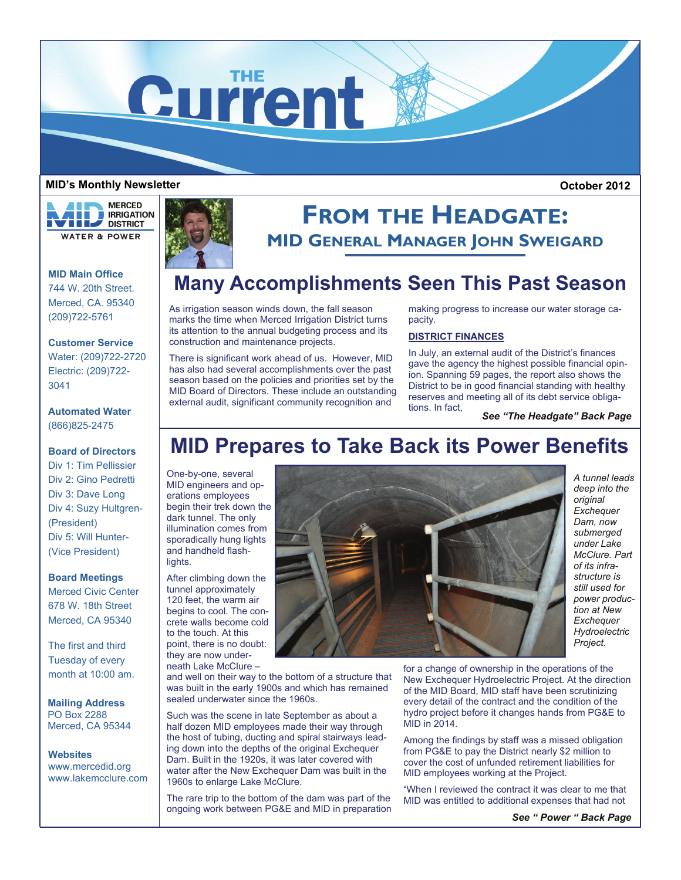

### **MID's Monthly Newsletter**

**MERCED** a ka **THE REAL PROPERTY OF ST WEEP DISTRICT WATER & POWER** 

**MID Main Office**  744 W. 20th Street. Merced, CA. 95340 (209)722-5761

**Customer Service**  Water: (209)722-2720

Electric: (209)722- 3041

**Automated Water**  (866)825-2475

### **Board of Directors**

Div 1: Tim Pellissier Div 2: Gino Pedretti Div 3: Dave Long Div 4: Suzy Hultgren- (President) Div 5: Will Hunter- (Vice President)

### **Board Meetings**

Merced Civic Center 678 W. 18th Street Merced, CA 95340

The first and third Tuesday of every month at 10:00 am.

**Mailing Address**  PO Box 2288 Merced, CA 95344

**Websites**  www.mercedid.org www.lakemcclure.com



# **FROM THE HEADGATE: MID GENERAL MANAGER JOHN SWEIGARD**

### **Many Accomplishments Seen This Past Season**

As irrigation season winds down, the fall season marks the time when Merced Irrigation District turns its attention to the annual budgeting process and its construction and maintenance projects.

There is significant work ahead of us. However, MID has also had several accomplishments over the past season based on the policies and priorities set by the MID Board of Directors. These include an outstanding external audit, significant community recognition and

making progress to increase our water storage capacity.

### **DISTRICT FINANCES**

In July, an external audit of the District's finances gave the agency the highest possible financial opinion. Spanning 59 pages, the report also shows the District to be in good financial standing with healthy reserves and meeting all of its debt service obliga-

tions. In fact, *See "The Headgate" Back Page* 

## **MID Prepares to Take Back its Power Benefits**

One-by-one, several MID engineers and operations employees begin their trek down the dark tunnel. The only illumination comes from sporadically hung lights and handheld flashlights.

After climbing down the tunnel approximately 120 feet, the warm air begins to cool. The concrete walls become cold to the touch. At this point, there is no doubt: they are now underneath Lake McClure –

and well on their way to the bottom of a structure that was built in the early 1900s and which has remained sealed underwater since the 1960s.

Such was the scene in late September as about a half dozen MID employees made their way through the host of tubing, ducting and spiral stairways leading down into the depths of the original Exchequer Dam. Built in the 1920s, it was later covered with water after the New Exchequer Dam was built in the 1960s to enlarge Lake McClure.

The rare trip to the bottom of the dam was part of the ongoing work between PG&E and MID in preparation



*A tunnel leads deep into the original Exchequer Dam, now submerged under Lake McClure. Part of its infrastructure is still used for power production at New Exchequer Hydroelectric Project.* 

 **October 2012** 

for a change of ownership in the operations of the New Exchequer Hydroelectric Project. At the direction of the MID Board, MID staff have been scrutinizing every detail of the contract and the condition of the hydro project before it changes hands from PG&E to MID in 2014.

Among the findings by staff was a missed obligation from PG&E to pay the District nearly \$2 million to cover the cost of unfunded retirement liabilities for MID employees working at the Project.

"When I reviewed the contract it was clear to me that MID was entitled to additional expenses that had not